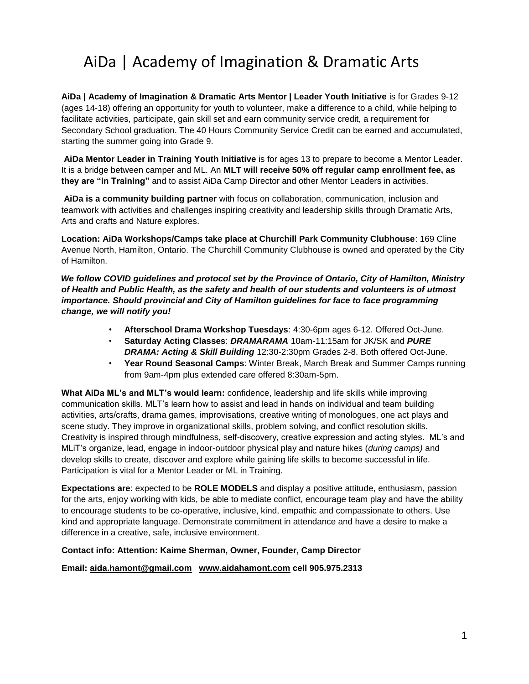# AiDa | Academy of Imagination & Dramatic Arts

**AiDa | Academy of Imagination & Dramatic Arts Mentor | Leader Youth Initiative** is for Grades 9-12 (ages 14-18) offering an opportunity for youth to volunteer, make a difference to a child, while helping to facilitate activities, participate, gain skill set and earn community service credit, a requirement for Secondary School graduation. The 40 Hours Community Service Credit can be earned and accumulated, starting the summer going into Grade 9.

**AiDa Mentor Leader in Training Youth Initiative** is for ages 13 to prepare to become a Mentor Leader. It is a bridge between camper and ML. An **MLT will receive 50% off regular camp enrollment fee, as they are "in Training"** and to assist AiDa Camp Director and other Mentor Leaders in activities.

**AiDa is a community building partner** with focus on collaboration, communication, inclusion and teamwork with activities and challenges inspiring creativity and leadership skills through Dramatic Arts, Arts and crafts and Nature explores.

**Location: AiDa Workshops/Camps take place at Churchill Park Community Clubhouse**: 169 Cline Avenue North, Hamilton, Ontario. The Churchill Community Clubhouse is owned and operated by the City of Hamilton.

*We follow COVID guidelines and protocol set by the Province of Ontario, City of Hamilton, Ministry of Health and Public Health, as the safety and health of our students and volunteers is of utmost importance. Should provincial and City of Hamilton guidelines for face to face programming change, we will notify you!* 

- **Afterschool Drama Workshop Tuesdays**: 4:30-6pm ages 6-12. Offered Oct-June.
- **Saturday Acting Classes**: *DRAMARAMA* 10am-11:15am for JK/SK and *PURE DRAMA: Acting & Skill Building* 12:30-2:30pm Grades 2-8. Both offered Oct-June.
- **Year Round Seasonal Camps**: Winter Break, March Break and Summer Camps running from 9am-4pm plus extended care offered 8:30am-5pm.

**What AiDa ML's and MLT's would learn:** confidence, leadership and life skills while improving communication skills. MLT's learn how to assist and lead in hands on individual and team building activities, arts/crafts, drama games, improvisations, creative writing of monologues, one act plays and scene study. They improve in organizational skills, problem solving, and conflict resolution skills. Creativity is inspired through mindfulness, self-discovery, creative expression and acting styles. ML's and MLiT's organize, lead, engage in indoor-outdoor physical play and nature hikes (*during camps)* and develop skills to create, discover and explore while gaining life skills to become successful in life. Participation is vital for a Mentor Leader or ML in Training.

**Expectations are**: expected to be **ROLE MODELS** and display a positive attitude, enthusiasm, passion for the arts, enjoy working with kids, be able to mediate conflict, encourage team play and have the ability to encourage students to be co-operative, inclusive, kind, empathic and compassionate to others. Use kind and appropriate language. Demonstrate commitment in attendance and have a desire to make a difference in a creative, safe, inclusive environment.

### **Contact info: Attention: Kaime Sherman, Owner, Founder, Camp Director**

### **Email: aida.hamont@gmail.com [www.aidahamont.com](http://www.aidahamont.com/) [c](http://www.aidahamont.com/)ell 905.975.2313**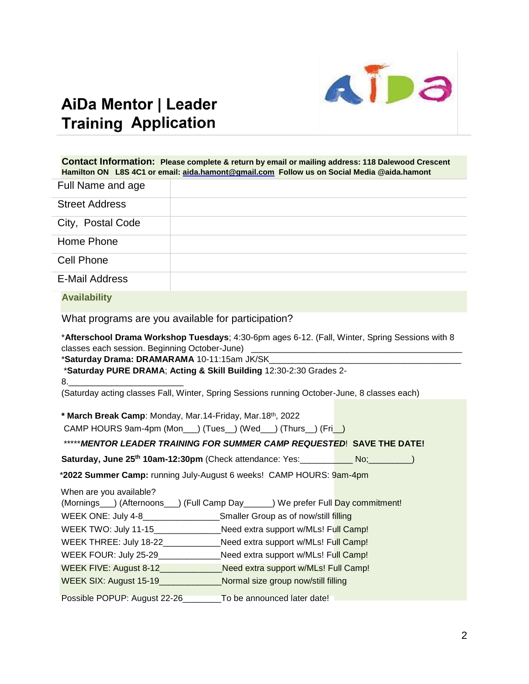

# AiDa Mentor | Leader **Training Application**

|                              | Contact Information: Please complete & return by email or mailing address: 118 Dalewood Crescent<br>Hamilton ON L8S 4C1 or email: aida.hamont@gmail.com Follow us on Social Media @aida.hamont                                                                                                                                                                                                      |
|------------------------------|-----------------------------------------------------------------------------------------------------------------------------------------------------------------------------------------------------------------------------------------------------------------------------------------------------------------------------------------------------------------------------------------------------|
| Full Name and age            |                                                                                                                                                                                                                                                                                                                                                                                                     |
| <b>Street Address</b>        |                                                                                                                                                                                                                                                                                                                                                                                                     |
| City, Postal Code            |                                                                                                                                                                                                                                                                                                                                                                                                     |
| Home Phone                   |                                                                                                                                                                                                                                                                                                                                                                                                     |
| <b>Cell Phone</b>            |                                                                                                                                                                                                                                                                                                                                                                                                     |
| <b>E-Mail Address</b>        |                                                                                                                                                                                                                                                                                                                                                                                                     |
| <b>Availability</b>          |                                                                                                                                                                                                                                                                                                                                                                                                     |
|                              | What programs are you available for participation?                                                                                                                                                                                                                                                                                                                                                  |
| 8.                           | *Saturday Drama: DRAMARAMA 10-11:15am JK/SK<br>*Saturday PURE DRAMA; Acting & Skill Building 12:30-2:30 Grades 2-                                                                                                                                                                                                                                                                                   |
|                              | (Saturday acting classes Fall, Winter, Spring Sessions running October-June, 8 classes each)<br>* March Break Camp: Monday, Mar.14-Friday, Mar.18th, 2022<br>CAMP HOURS 9am-4pm (Mon__) (Tues_) (Wed__) (Thurs_) (Fri_)                                                                                                                                                                             |
|                              | ***** MENTOR LEADER TRAINING FOR SUMMER CAMP REQUESTED! SAVE THE DATE!                                                                                                                                                                                                                                                                                                                              |
|                              | *2022 Summer Camp: running July-August 6 weeks! CAMP HOURS: 9am-4pm                                                                                                                                                                                                                                                                                                                                 |
|                              |                                                                                                                                                                                                                                                                                                                                                                                                     |
| When are you available?      | (Mornings__) (Afternoons__) (Full Camp Day_____) We prefer Full Day commitment!<br>WEEK ONE: July 4-8_____________________Smaller Group as of now/still filling<br>WEEK TWO: July 11-15_________________Need extra support w/MLs! Full Camp!<br>WEEK THREE: July 18-22_____________Need extra support w/MLs! Full Camp!<br>WEEK FOUR: July 25-29_______________Need extra support w/MLs! Full Camp! |
|                              | WEEK FIVE: August 8-12__________________Need extra support w/MLs! Full Camp!<br>WEEK SIX: August 15-19_______________Normal size group now/still filling                                                                                                                                                                                                                                            |
| Possible POPUP: August 22-26 | To be announced later date!                                                                                                                                                                                                                                                                                                                                                                         |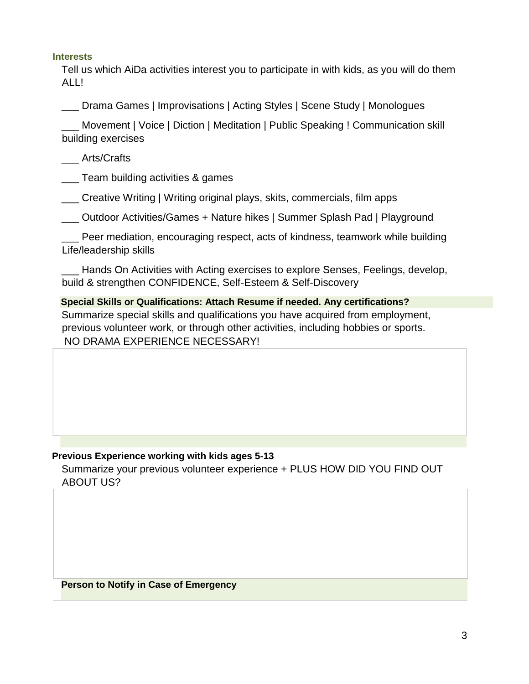### **Interests**

Tell us which AiDa activities interest you to participate in with kids, as you will do them ALL!

\_\_\_ Drama Games | Improvisations | Acting Styles | Scene Study | Monologues

\_\_\_ Movement | Voice | Diction | Meditation | Public Speaking ! Communication skill building exercises

\_\_\_ Arts/Crafts

\_\_\_ Team building activities & games

\_\_\_ Creative Writing | Writing original plays, skits, commercials, film apps

\_\_\_ Outdoor Activities/Games + Nature hikes | Summer Splash Pad | Playground

\_\_\_ Peer mediation, encouraging respect, acts of kindness, teamwork while building Life/leadership skills

Hands On Activities with Acting exercises to explore Senses, Feelings, develop, build & strengthen CONFIDENCE, Self-Esteem & Self-Discovery

**Special Skills or Qualifications: Attach Resume if needed. Any certifications?**  Summarize special skills and qualifications you have acquired from employment, previous volunteer work, or through other activities, including hobbies or sports. NO DRAMA EXPERIENCE NECESSARY!

# **Previous Experience working with kids ages 5-13**

Summarize your previous volunteer experience + PLUS HOW DID YOU FIND OUT ABOUT US?

**Person to Notify in Case of Emergency**